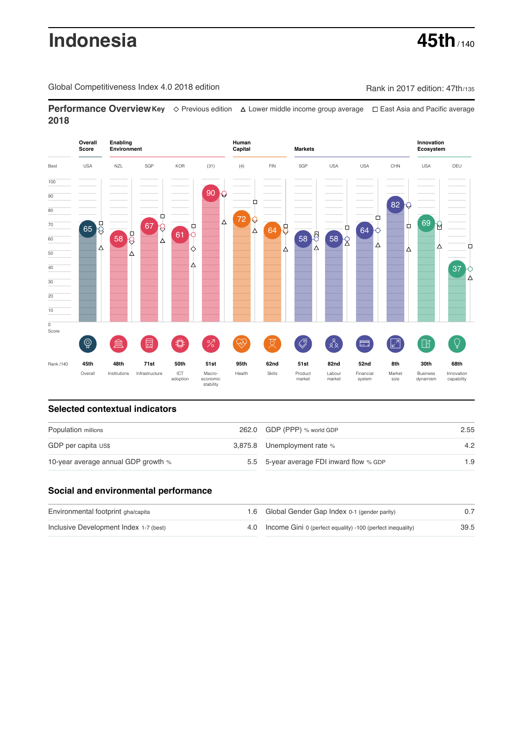# **Indonesia 45th**  $\frac{1}{140}$

Global Competitiveness Index 4.0 2018 edition Company Rank in 2017 edition: 47th/135

**Performance OverviewKey** Previous edition Lower middle income group average East Asia and Pacific average **2018**



# **Selected contextual indicators**

| Population millions                 |  | 262.0 GDP (PPP) % world GDP              | 2.55 |  |
|-------------------------------------|--|------------------------------------------|------|--|
| GDP per capita US\$                 |  | 3,875.8 Unemployment rate %              | 4.2  |  |
| 10-year average annual GDP growth % |  | 5.5 5-year average FDI inward flow % GDP | 1.9  |  |

# **Social and environmental performance**

| Environmental footprint gha/capita     | 1.6 Global Gender Gap Index 0-1 (gender parity)                |      |
|----------------------------------------|----------------------------------------------------------------|------|
| Inclusive Development Index 1-7 (best) | 4.0 Income Gini 0 (perfect equality) -100 (perfect inequality) | 39.5 |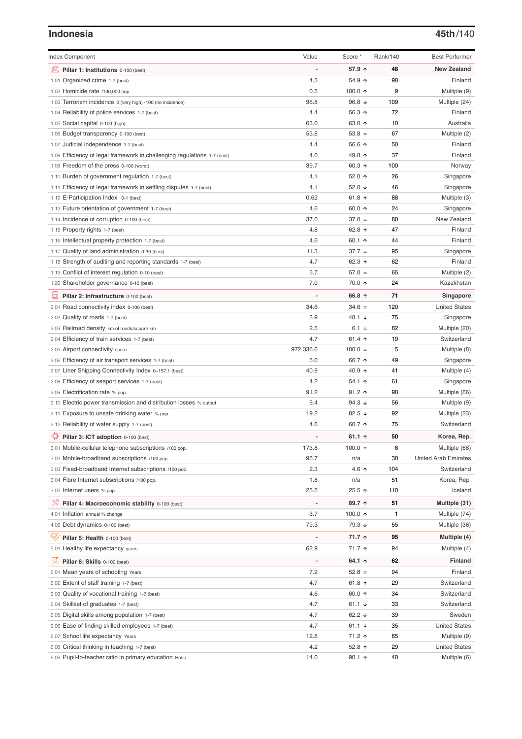### **Indonesia 45th**/140

| <b>Index Component</b>                                                   | Value     | Score *                  | Rank/140 | <b>Best Performer</b>       |
|--------------------------------------------------------------------------|-----------|--------------------------|----------|-----------------------------|
| 寙<br>Pillar 1: Institutions 0-100 (best)                                 |           | 57.9 ↑                   | 48       | <b>New Zealand</b>          |
| 1.01 Organized crime 1-7 (best)                                          | 4.3       | 54.9 ↑                   | 98       | Finland                     |
| 1.02 Homicide rate /100,000 pop.                                         | 0.5       | 100.0 $\uparrow$         | 9        | Multiple (9)                |
| 1.03 Terrorism incidence 0 (very high) -100 (no incidence)               | 96.8      | 96.8 $\sqrt{ }$          | 109      | Multiple (24)               |
| 1.04 Reliability of police services 1-7 (best)                           | 4.4       | 56.3 $\uparrow$          | 72       | Finland                     |
| 1.05 Social capital 0-100 (high)                                         | 63.0      | 63.0 ↑                   | 10       | Australia                   |
| 1.06 Budget transparency 0-100 (best)                                    | 53.8      | $53.8 =$                 | 67       | Multiple (2)                |
| 1.07 Judicial independence 1-7 (best)                                    | 4.4       | 56.6 ↑                   | 50       | Finland                     |
| 1.08 Efficiency of legal framework in challenging regulations 1-7 (best) | 4.0       | 49.8 ↑                   | 37       | Finland                     |
| 1.09 Freedom of the press 0-100 (worst)                                  | 39.7      | 60.3 $\uparrow$          | 100      | Norway                      |
| 1.10 Burden of government regulation 1-7 (best)                          | 4.1       | 52.0 ↑                   | 26       | Singapore                   |
| 1.11 Efficiency of legal framework in settling disputes 1-7 (best)       | 4.1       | 52.0 $\sqrt{ }$          | 46       | Singapore                   |
| 1.12 E-Participation Index 0-1 (best)                                    | 0.62      | 61.8 $\uparrow$          | 88       | Multiple (3)                |
| 1.13 Future orientation of government 1-7 (best)                         | 4.6       | 60.0 $\uparrow$          | 24       | Singapore                   |
| 1.14 Incidence of corruption 0-100 (best)                                | 37.0      | $37.0 =$                 | 80       | New Zealand                 |
| 1.15 Property rights 1-7 (best)                                          | 4.8       | 62.8 ↑                   | 47       | Finland                     |
| 1.16 Intellectual property protection 1-7 (best)                         | 4.6       | 60.1 $\uparrow$          | 44       | Finland                     |
| 1.17 Quality of land administration 0-30 (best)                          | 11.3      | $37.7 =$                 | 95       | Singapore                   |
| 1.18 Strength of auditing and reporting standards 1-7 (best)             | 4.7       | 62.3 $\uparrow$          | 62       | Finland                     |
| 1.19 Conflict of interest regulation 0-10 (best)                         | 5.7       | $57.0 =$                 | 65       | Multiple (2)                |
| 1.20 Shareholder governance 0-10 (best)                                  | 7.0       | 70.0 ↑                   | 24       | Kazakhstan                  |
|                                                                          |           |                          |          |                             |
| 曼<br>Pillar 2: Infrastructure 0-100 (best)                               |           | 66.8 ↑                   | 71       | Singapore                   |
| 2.01 Road connectivity index 0-100 (best)                                | 34.6      | $34.6 =$                 | 120      | <b>United States</b>        |
| 2.02 Quality of roads 1-7 (best)                                         | 3.9       | 48.1 ↓                   | 75       | Singapore                   |
| 2.03 Railroad density km of roads/square km                              | 2.5       | $6.1 =$                  | 82       | Multiple (20)               |
| 2.04 Efficiency of train services 1-7 (best)                             | 4.7       | 61.4 $\uparrow$          | 19       | Switzerland                 |
| 2.05 Airport connectivity score                                          | 972,336.6 | $100.0 =$                | 5        | Multiple (8)                |
| 2.06 Efficiency of air transport services 1-7 (best)                     | 5.0       | 66.7 ↑                   | 49       | Singapore                   |
| 2.07 Liner Shipping Connectivity Index 0-157.1 (best)                    | 40.9      | 40.9 $\uparrow$          | 41       | Multiple (4)                |
| 2.08 Efficiency of seaport services 1-7 (best)                           | 4.2       | 54.1 $\uparrow$          | 61       | Singapore                   |
| 2.09 Electrification rate % pop.                                         | 91.2      | $91.2$ ↑                 | 98       | Multiple (66)               |
| 2.10 Electric power transmission and distribution losses % output        | 9.4       | 94.3 $\sqrt{ }$          | 56       | Multiple (9)                |
| 2.11 Exposure to unsafe drinking water % pop.                            | 19.2      | 82.5 ↓                   | 92       | Multiple (23)               |
| 2.12 Reliability of water supply 1-7 (best)                              | 4.6       | 60.7 $\uparrow$          | 75       | Switzerland                 |
| ₩<br>Pillar 3: ICT adoption 0-100 (best)                                 |           | 61.1 $\uparrow$          | 50       | Korea, Rep.                 |
| 3.01 Mobile-cellular telephone subscriptions /100 pop.                   | 173.8     | $100.0 =$                | 6        | Multiple (68)               |
| 3.02 Mobile-broadband subscriptions /100 pop.                            | 95.7      | n/a                      | 30       | <b>United Arab Emirates</b> |
| 3.03 Fixed-broadband Internet subscriptions /100 pop.                    | 2.3       | 4.6 $\uparrow$           | 104      | Switzerland                 |
| 3.04 Fibre Internet subscriptions /100 pop.                              | 1.8       | n/a                      | 51       | Korea, Rep.                 |
| 3.05 Internet users % pop.                                               | 25.5      | 25.5 ↑                   | 110      | Iceland                     |
| <sup>%</sup> Pillar 4: Macroeconomic stability 0-100 (best)              |           | 89.7 个                   | 51       | Multiple (31)               |
| 4.01 Inflation annual % change                                           | 3.7       | 100.0 $\uparrow$         | 1        | Multiple (74)               |
| 4.02 Debt dynamics 0-100 (best)                                          | 79.3      | 79.3 ↓                   | 55       | Multiple (36)               |
|                                                                          |           |                          |          |                             |
| ₩<br>Pillar 5: Health 0-100 (best)                                       |           | 71.7 ተ                   | 95       | Multiple (4)                |
| 5.01 Healthy life expectancy years                                       | 62.9      | 71.7 ተ                   | 94       | Multiple (4)                |
| Pillar 6: Skills 0-100 (best)                                            |           | 64.1 $\uparrow$          | 62       | <b>Finland</b>              |
| 6.01 Mean years of schooling Years                                       | 7.9       | $52.8 =$                 | 94       | Finland                     |
| 6.02 Extent of staff training 1-7 (best)                                 | 4.7       | 61.8 $\uparrow$          | 29       | Switzerland                 |
| 6.03 Quality of vocational training 1-7 (best)                           | 4.6       | 60.0 $\uparrow$          | 34       | Switzerland                 |
| 6.04 Skillset of graduates 1-7 (best)                                    | 4.7       | 61.1 $\sqrt{ }$          | 33       | Switzerland                 |
| 6.05 Digital skills among population 1-7 (best)                          | 4.7       | 62.2 $\sqrt{ }$          | 39       | Sweden                      |
| 6.06 Ease of finding skilled employees 1-7 (best)                        | 4.7       | 61.1 $\sqrt{ }$          | 35       | <b>United States</b>        |
| 6.07 School life expectancy Years                                        | 12.8      | 71.2 ተ                   | 85       | Multiple (9)                |
| 6.08 Critical thinking in teaching 1-7 (best)                            | 4.2       | 52.8 $\uparrow$          | 29       | <b>United States</b>        |
| 6.09 Pupil-to-teacher ratio in primary education Ratio                   | 14.0      | $90.1 \text{ } \Upsilon$ | 40       | Multiple (6)                |